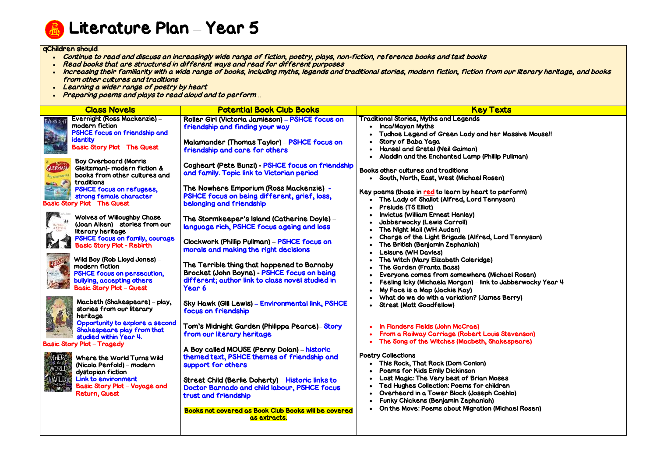

Literature Plan – Year 5

### qChildren should…

- Continue to read and discuss an increasingly wide range of fiction, poetry, plays, non-fiction, reference books and text books
- Read books that are structured in different ways and read for different purposes
- . Increasing their familiarity with a wide range of books, including myths, legends and traditional stories, modern fiction, fiction from our literary heritage, and books from other cultures and traditions
- Learning a wider range of poetry by heart
- Preparing poems and plays to read aloud and to perform*…*

|                                            | <b>Class Novels</b>                                                                                                                                   | <b>Potential Book Club Books</b>                                                                                                                         | <b>Key Texts</b>                                                                                                                                                                                |
|--------------------------------------------|-------------------------------------------------------------------------------------------------------------------------------------------------------|----------------------------------------------------------------------------------------------------------------------------------------------------------|-------------------------------------------------------------------------------------------------------------------------------------------------------------------------------------------------|
| <b>EVERNIGH</b>                            | Evernight (Ross Mackenzie) -<br>modern fiction<br>PSHCE focus on friendship and                                                                       | Roller Girl (Victoria Jamieson) - PSHCE focus on<br>friendship and finding your way                                                                      | <b>Traditional Stories, Myths and Legends</b><br>• Inca/Mayan Myths<br>Tudhoe Legend of Green Lady and her Mas                                                                                  |
|                                            | <b>identity</b><br><b>Basic Story Plot - The Quest</b>                                                                                                | <b>Malamander (Thomas Taylor) – PSHCE focus on</b><br>friendship and care for others                                                                     | Story of Baba Yaga<br><b>Hansel and Gretel (Neil Gaiman)</b><br>Aladdin and the Enchanted Lamp (Phillip Pulln                                                                                   |
| GLEITZMAN                                  | <b>Boy Overboard (Morris</b><br>Gleitzman)- modern fiction &<br>books from other cultures and<br>traditions                                           | Cogheart (Pete Bunzl) - PSHCE focus on friendship<br>and family. Topic link to Victorian period                                                          | Books other cultures and traditions<br>• South, North, East, West (Michael Rosen)                                                                                                               |
|                                            | <b>PSHCE focus on refugees,</b><br>strong female character<br><b>Basic Story Plot - The Quest</b>                                                     | The Nowhere Emporium (Ross Mackenzie) -<br>PSHCE focus on being different, grief, loss,<br>belonging and friendship                                      | Key poems (those in red to learn by heart to perfo<br>The Lady of Shallot (Alfred, Lord Tennyson)<br><b>Prelude (TS Elliot)</b>                                                                 |
|                                            | <b>Wolves of Willoughby Chase</b><br>(Joan Aiken) – stories from our<br>literary heritage                                                             | The Stormkeeper's Island (Catherine Doyle) –<br>language rich, PSHCE focus ageing and loss                                                               | <b>Invictus (William Ernest Henley)</b><br><b>Jabberwocky (Lewis Carroll)</b><br>The Night Mail (WH Auden)                                                                                      |
|                                            | PSHCE focus on family, courage<br><b>Basic Story Plot - Rebirth</b>                                                                                   | Clockwork (Phillip Pullman) - PSHCE focus on<br>morals and making the right decisions                                                                    | Charge of the Light Brigade (Alfred, Lord To<br>The British (Benjamin Zephaniah)<br>Leisure (WH Davies)                                                                                         |
|                                            | Wild Boy (Rob Lloyd Jones) -<br>modern fiction<br><b>PSHCE focus on persecution,</b><br>bullying, accepting others<br><b>Basic Story Plot - Quest</b> | The Terrible thing that happened to Barnaby<br>Brocket (John Boyne) - PSHCE focus on being<br>different; author link to class novel studied in<br>Year 6 | The Witch (Mary Elizabeth Coleridge)<br>The Garden (Franta Bass)<br>Everyone comes from somewhere (Michael I<br>Feeling Icky (Michaela Morgan) – link to Jabbe<br>My Face is a Map (Jackie Kay) |
|                                            | Macbeth (Shakespeare) – play,<br>stories from our literary<br>heritage                                                                                | Sky Hawk (Gill Lewis) - Environmental link, PSHCE<br>focus on friendship                                                                                 | What do we do with a variation? (James Berr<br><b>Strest (Matt Goodfellow)</b>                                                                                                                  |
|                                            | Opportunity to explore a second<br>Shakespeare play from that<br>studied within Year 4.<br><b>Basic Story Plot - Tragedy</b>                          | Tom's Midnight Garden (Philippa Pearce)– Story<br>from our literary heritage                                                                             | In Flanders Fields (John McCrae)<br>From a Railway Carriage (Robert Louis Stev<br>The Song of the Witches (Macbeth, Shakesp)                                                                    |
| <b>ANHER!</b><br>NORLD<br>e farver<br>WILE | Where the World Turns Wild<br>(Nicola Penfold) – modern<br>dystopian fiction                                                                          | A Boy called MOUSE (Penny Dolan) - historic<br>themed text, PSHCE themes of friendship and<br>support for others                                         | <b>Poetry Collections</b><br>• This Rock, That Rock (Dom Conlon)<br><b>Poems for Kids Emily Dickinson</b><br>Lost Magic: The Very best of Brian Moses                                           |
|                                            | <b>Link to environment</b><br><b>Basic Story Plot - Voyage and</b><br>Return, Quest                                                                   | Street Child (Berlie Doherty) - Historic links to<br>Doctor Barnado and child labour, PSHCE focus<br>trust and friendship                                | Ted Hughes Collection: Poems for children<br>Overheard in a Tower Block (Joseph Coehlo)<br>Funky Chickens (Benjamin Zephaniah)                                                                  |
|                                            |                                                                                                                                                       | <b>Books not covered as Book Club Books will be covered</b><br><u>as extracts.</u>                                                                       | On the Move: Poems about Migration (Michae                                                                                                                                                      |

**Massive Mouse!!** 

Pullman)

berform)

ord Tennyson)

hael Rosen) Jabberwocky Year 4

Berry)

Stevenson) kespeare)

Michael Rosen)